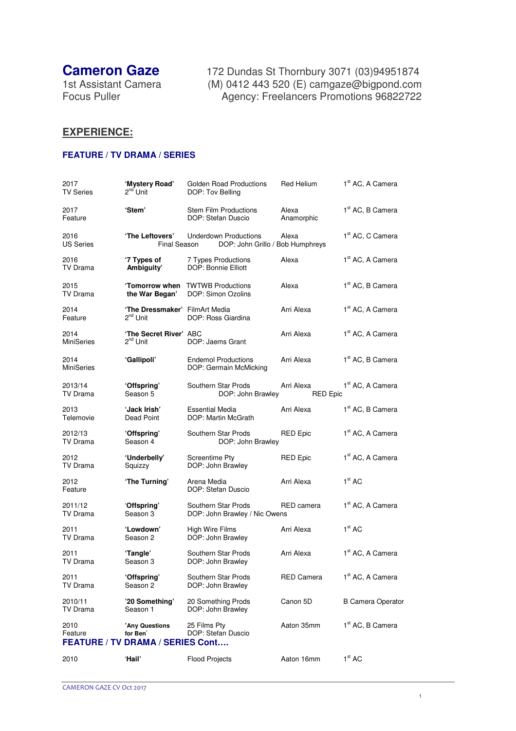**Cameron Gaze** 172 Dundas St Thornbury 3071 (03)94951874 1st Assistant Camera (M) 0412 443 520 (E) camgaze@bigpond.com Focus Puller **Agency: Freelancers Promotions 96822722** 

## **EXPERIENCE:**

## **FEATURE / TV DRAMA / SERIES**

| 2017<br><b>TV Series</b>  | 'Mystery Road'<br>2 <sup>nd</sup> Unit                                | <b>Golden Road Productions</b><br>DOP: Tov Belling               | Red Helium                    | 1 <sup>st</sup> AC, A Camera |
|---------------------------|-----------------------------------------------------------------------|------------------------------------------------------------------|-------------------------------|------------------------------|
| 2017<br>Feature           | 'Stem'                                                                | <b>Stem Film Productions</b><br>DOP: Stefan Duscio               | Alexa<br>Anamorphic           | 1 <sup>st</sup> AC, B Camera |
| 2016<br><b>US Series</b>  | 'The Leftovers'<br><b>Final Season</b>                                | <b>Underdown Productions</b><br>DOP: John Grillo / Bob Humphreys | Alexa                         | 1 <sup>st</sup> AC, C Camera |
| 2016<br>TV Drama          | '7 Types of<br>Ambiguity'                                             | 7 Types Productions<br>DOP: Bonnie Elliott                       | Alexa                         | 1 <sup>st</sup> AC, A Camera |
| 2015<br>TV Drama          | 'Tomorrow when<br>the War Began'                                      | <b>TWTWB Productions</b><br>DOP: Simon Ozolins                   | Alexa                         | 1 <sup>st</sup> AC, B Camera |
| 2014<br>Feature           | 'The Dressmaker' FilmArt Media<br>2 <sup>nd</sup> Unit                | DOP: Ross Giardina                                               | Arri Alexa                    | 1 <sup>st</sup> AC, A Camera |
| 2014<br><b>MiniSeries</b> | 'The Secret River' ABC<br>2 <sup>nd</sup> Unit                        | DOP: Jaems Grant                                                 | Arri Alexa                    | 1 <sup>st</sup> AC, A Camera |
| 2014<br><b>MiniSeries</b> | 'Gallipoli'                                                           | <b>Endemol Productions</b><br>DOP: Germain McMicking             | Arri Alexa                    | 1 <sup>st</sup> AC, B Camera |
| 2013/14<br>TV Drama       | 'Offspring'<br>Season 5                                               | Southern Star Prods<br>DOP: John Brawley                         | Arri Alexa<br><b>RED Epic</b> | 1 <sup>st</sup> AC, A Camera |
| 2013<br>Telemovie         | 'Jack Irish'<br>Dead Point                                            | <b>Essential Media</b><br>DOP: Martin McGrath                    | Arri Alexa                    | 1 <sup>st</sup> AC, B Camera |
| 2012/13<br>TV Drama       | 'Offspring'<br>Season 4                                               | Southern Star Prods<br>DOP: John Brawley                         | <b>RED Epic</b>               | 1 <sup>st</sup> AC, A Camera |
| 2012<br>TV Drama          | 'Underbelly'<br>Squizzy                                               | Screentime Pty<br>DOP: John Brawley                              | <b>RED Epic</b>               | 1 <sup>st</sup> AC, A Camera |
| 2012<br>Feature           | 'The Turning'                                                         | Arena Media<br>DOP: Stefan Duscio                                | Arri Alexa                    | 1 <sup>st</sup> AC           |
| 2011/12<br>TV Drama       | 'Offspring'<br>Season 3                                               | Southern Star Prods<br>DOP: John Brawley / Nic Owens             | RED camera                    | 1 <sup>st</sup> AC, A Camera |
| 2011<br>TV Drama          | 'Lowdown'<br>Season 2                                                 | High Wire Films<br>DOP: John Brawley                             | Arri Alexa                    | 1 <sup>st</sup> AC           |
| 2011<br>TV Drama          | 'Tangle'<br>Season 3                                                  | Southern Star Prods<br>DOP: John Brawley                         | Arri Alexa                    | 1 <sup>st</sup> AC, A Camera |
| 2011<br>TV Drama          | 'Offspring'<br>Season 2                                               | Southern Star Prods<br>DOP: John Brawley                         | <b>RED Camera</b>             | 1 <sup>st</sup> AC, A Camera |
| 2010/11<br>TV Drama       | '20 Something'<br>Season 1                                            | 20 Something Prods<br>DOP: John Brawley                          | Canon 5D                      | <b>B Camera Operator</b>     |
| 2010<br>Feature           | 'Any Questions<br>for Ben'<br><b>FEATURE / TV DRAMA / SERIES Cont</b> | 25 Films Pty<br>DOP: Stefan Duscio                               | Aaton 35mm                    | 1 <sup>st</sup> AC, B Camera |
| 2010                      | 'Hail'                                                                | <b>Flood Projects</b>                                            | Aaton 16mm                    | 1 <sup>st</sup> AC           |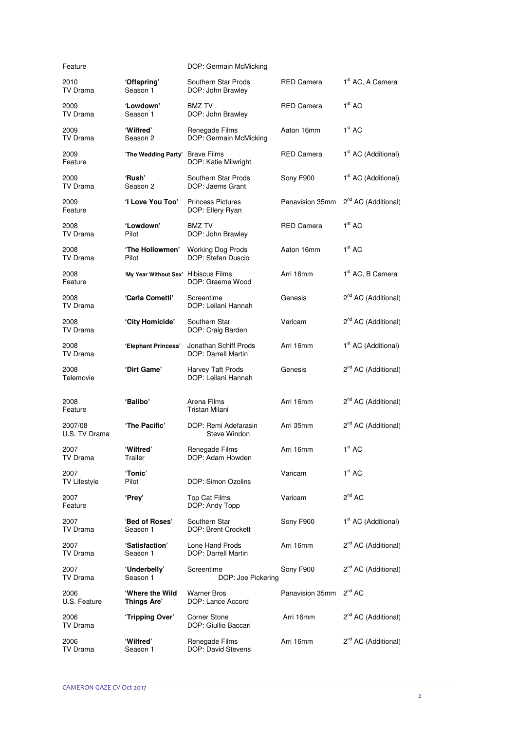| Feature                     |                                      | DOP: Germain McMicking                         |                   |                                 |
|-----------------------------|--------------------------------------|------------------------------------------------|-------------------|---------------------------------|
| 2010<br>TV Drama            | 'Offspring'<br>Season 1              | Southern Star Prods<br>DOP: John Brawley       | RED Camera        | 1 <sup>st</sup> AC, A Camera    |
| 2009<br>TV Drama            | 'Lowdown'<br>Season 1                | <b>BMZ TV</b><br>DOP: John Brawley             | <b>RED Camera</b> | 1 <sup>st</sup> AC              |
| 2009<br>TV Drama            | 'Wilfred'<br>Season 2                | Renegade Films<br>DOP: Germain McMicking       | Aaton 16mm        | 1 <sup>st</sup> AC              |
| 2009<br>Feature             | 'The Wedding Party'                  | <b>Brave Films</b><br>DOP: Katie Milwright     | RED Camera        | 1 <sup>st</sup> AC (Additional) |
| 2009<br>TV Drama            | 'Rush'<br>Season 2                   | Southern Star Prods<br>DOP: Jaems Grant        | Sony F900         | 1 <sup>st</sup> AC (Additional) |
| 2009<br>Feature             | 'I Love You Too'                     | <b>Princess Pictures</b><br>DOP: Ellery Ryan   | Panavision 35mm   | 2 <sup>nd</sup> AC (Additional) |
| 2008<br>TV Drama            | 'Lowdown'<br>Pilot                   | <b>BMZ TV</b><br>DOP: John Brawley             | <b>RED Camera</b> | 1 <sup>st</sup> AC              |
| 2008<br>TV Drama            | 'The Hollowmen'<br>Pilot             | <b>Working Dog Prods</b><br>DOP: Stefan Duscio | Aaton 16mm        | 1 <sup>st</sup> AC              |
| 2008<br>Feature             | 'My Year Without Sex' Hibiscus Films | DOP: Graeme Wood                               | Arri 16mm         | 1 <sup>st</sup> AC, B Camera    |
| 2008<br>TV Drama            | 'Carla Cometti'                      | Screentime<br>DOP: Leilani Hannah              | Genesis           | 2 <sup>nd</sup> AC (Additional) |
| 2008<br>TV Drama            | 'City Homicide'                      | Southern Star<br>DOP: Craig Barden             | Varicam           | 2 <sup>nd</sup> AC (Additional) |
| 2008<br>TV Drama            | 'Elephant Princess'                  | Jonathan Schiff Prods<br>DOP: Darrell Martin   | Arri 16mm         | 1 <sup>st</sup> AC (Additional) |
| 2008<br>Telemovie           | 'Dirt Game'                          | Harvey Taft Prods<br>DOP: Leilani Hannah       | Genesis           | 2 <sup>nd</sup> AC (Additional) |
| 2008<br>Feature             | 'Balibo'                             | Arena Films<br>Tristan Milani                  | Arri 16mm         | 2 <sup>nd</sup> AC (Additional) |
| 2007/08<br>U.S. TV Drama    | 'The Pacific'                        | DOP: Remi Adefarasin<br><b>Steve Windon</b>    | Arri 35mm         | 2 <sup>nd</sup> AC (Additional) |
| 2007<br>TV Drama            | 'Wilfred'<br>Trailer                 | Renegade Films<br>DOP: Adam Howden             | Arri 16mm         | 1 <sup>st</sup> AC              |
| 2007<br><b>TV Lifestyle</b> | 'Tonic'<br>Pilot                     | DOP: Simon Ozolins                             | Varicam           | 1 <sup>st</sup> AC              |
| 2007<br>Feature             | 'Prey'                               | Top Cat Films<br>DOP: Andy Topp                | Varicam           | 2 <sup>nd</sup> AC              |
| 2007<br>TV Drama            | 'Bed of Roses'<br>Season 1           | Southern Star<br>DOP: Brent Crockett           | Sony F900         | 1 <sup>st</sup> AC (Additional) |
| 2007<br>TV Drama            | 'Satisfaction'<br>Season 1           | Lone Hand Prods<br>DOP: Darrell Martin         | Arri 16mm         | $2^{nd}$ AC (Additional)        |
| 2007<br>TV Drama            | 'Underbelly'<br>Season 1             | Screentime<br>DOP: Joe Pickering               | Sony F900         | 2 <sup>nd</sup> AC (Additional) |
| 2006<br>U.S. Feature        | 'Where the Wild<br>Things Are'       | <b>Warner Bros</b><br>DOP: Lance Accord        | Panavision 35mm   | $2^{nd}$ AC                     |
| 2006<br>TV Drama            | 'Tripping Over'                      | Corner Stone<br>DOP: Giullio Baccari           | Arri 16mm         | 2 <sup>nd</sup> AC (Additional) |
| 2006<br>TV Drama            | 'Wilfred'<br>Season 1                | Renegade Films<br>DOP: David Stevens           | Arri 16mm         | 2 <sup>nd</sup> AC (Additional) |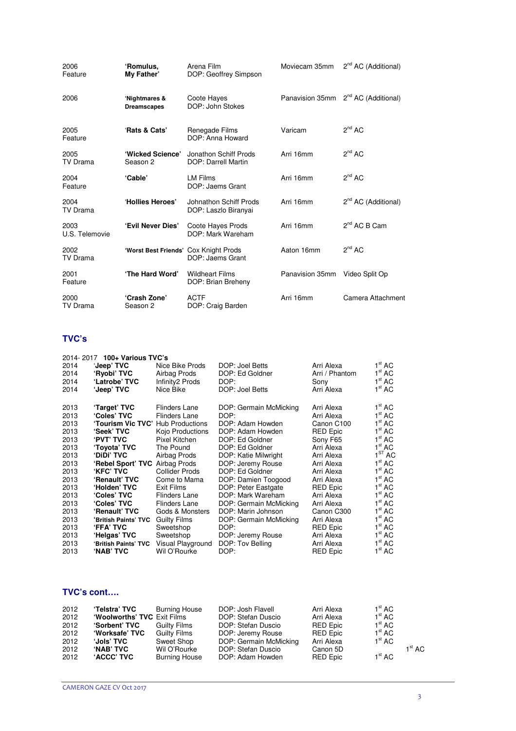| 2006<br>Feature        | 'Romulus,<br>My Father'               | Arena Film<br>DOP: Geoffrey Simpson            | Moviecam 35mm   | 2 <sup>nd</sup> AC (Additional)                 |
|------------------------|---------------------------------------|------------------------------------------------|-----------------|-------------------------------------------------|
| 2006                   | 'Nightmares &<br><b>Dreamscapes</b>   | Coote Hayes<br>DOP: John Stokes                |                 | Panavision 35mm 2 <sup>nd</sup> AC (Additional) |
| 2005<br>Feature        | 'Rats & Cats'                         | Renegade Films<br>DOP: Anna Howard             | Varicam         | $2^{nd}$ AC                                     |
| 2005<br>TV Drama       | 'Wicked Science'<br>Season 2          | Jonathon Schiff Prods<br>DOP: Darrell Martin   | Arri 16mm       | $2^{nd}$ AC                                     |
| 2004<br>Feature        | 'Cable'                               | <b>LM Films</b><br>DOP: Jaems Grant            | Arri 16mm       | $2^{nd}$ AC                                     |
| 2004<br>TV Drama       | 'Hollies Heroes'                      | Johnathon Schiff Prods<br>DOP: Laszlo Biranyai | Arri 16mm       | 2 <sup>nd</sup> AC (Additional)                 |
| 2003<br>U.S. Telemovie | 'Evil Never Dies'                     | Coote Hayes Prods<br>DOP: Mark Wareham         | Arri 16mm       | $2^{nd}$ AC B Cam                               |
| 2002<br>TV Drama       | 'Worst Best Friends' Cox Knight Prods | DOP: Jaems Grant                               | Aaton 16mm      | $2^{nd}$ AC                                     |
| 2001<br>Feature        | 'The Hard Word'                       | <b>Wildheart Films</b><br>DOP: Brian Breheny   | Panavision 35mm | Video Split Op                                  |
| 2000<br>TV Drama       | 'Crash Zone'<br>Season 2              | <b>ACTF</b><br>DOP: Craig Barden               | Arri 16mm       | Camera Attachment                               |

## **TVC's**

| 2014-2017 100+ Various TVC's |                                   |                                                                                                                                            |                                                   |                                             |  |  |
|------------------------------|-----------------------------------|--------------------------------------------------------------------------------------------------------------------------------------------|---------------------------------------------------|---------------------------------------------|--|--|
| 'Jeep' TVC                   | Nice Bike Prods                   | DOP: Joel Betts                                                                                                                            | Arri Alexa                                        | 1 <sup>st</sup> AC                          |  |  |
| 'Ryobi' TVC                  | Airbag Prods                      | DOP: Ed Goldner                                                                                                                            | Arri / Phantom                                    | 1 <sup>st</sup> AC                          |  |  |
| 'Latrobe' TVC                | Infinity2 Prods                   | DOP:                                                                                                                                       | Sony                                              | 1 <sup>st</sup> AC                          |  |  |
| 'Jeep' TVC                   | Nice Bike                         | DOP: Joel Betts                                                                                                                            | Arri Alexa                                        | 1 <sup>st</sup> AC                          |  |  |
|                              |                                   |                                                                                                                                            |                                                   |                                             |  |  |
| 'Target' TVC                 | Flinders Lane                     | DOP: Germain McMicking                                                                                                                     | Arri Alexa                                        | 1 <sup>st</sup> AC                          |  |  |
| 'Coles' TVC                  | <b>Flinders Lane</b>              | DOP:                                                                                                                                       | Arri Alexa                                        | $1^{\rm st}$ AC                             |  |  |
|                              |                                   | DOP: Adam Howden                                                                                                                           | Canon C100                                        | $1^{\rm st}$ AC                             |  |  |
| 'Seek' TVC                   | Kojo Productions                  | DOP: Adam Howden                                                                                                                           | <b>RED Epic</b>                                   | 1 <sup>st</sup> AC                          |  |  |
| <b>PVT' TVC</b>              | Pixel Kitchen                     | DOP: Ed Goldner                                                                                                                            | Sony F65                                          | 1 <sup>st</sup> AC                          |  |  |
| 'Toyota' TVC                 | The Pound                         | DOP: Ed Goldner                                                                                                                            | Arri Alexa                                        | 1 <sup>st</sup> AC                          |  |  |
| <b>'DIDI' TVC</b>            | Airbag Prods                      | DOP: Katie Milwright                                                                                                                       | Arri Alexa                                        | 1 <sup>ST</sup> AC                          |  |  |
|                              |                                   | DOP: Jeremy Rouse                                                                                                                          | Arri Alexa                                        | 1 <sup>st</sup> AC                          |  |  |
| <b>'KFC' TVC</b>             | <b>Collider Prods</b>             | DOP: Ed Goldner                                                                                                                            | Arri Alexa                                        | $1^{\rm st}$ AC                             |  |  |
| 'Renault' TVC                |                                   |                                                                                                                                            | Arri Alexa                                        | 1 <sup>st</sup> AC                          |  |  |
| 'Holden' TVC                 | Exit Films                        | DOP: Peter Eastgate                                                                                                                        | <b>RED Epic</b>                                   | 1 <sup>st</sup> AC                          |  |  |
| 'Coles' TVC                  | <b>Flinders Lane</b>              | DOP: Mark Wareham                                                                                                                          |                                                   | $1^{\rm st}$ AC                             |  |  |
| 'Coles' TVC                  | <b>Flinders Lane</b>              | DOP: Germain McMicking                                                                                                                     | Arri Alexa                                        | 1 <sup>st</sup> AC                          |  |  |
|                              |                                   |                                                                                                                                            |                                                   | 1 <sup>st</sup> AC                          |  |  |
| 'British Paints' TVC         |                                   | DOP: Germain McMicking                                                                                                                     | Arri Alexa                                        | 1 <sup>st</sup> AC                          |  |  |
|                              |                                   |                                                                                                                                            |                                                   | 1 <sup>st</sup> AC                          |  |  |
| 'Helgas' TVC                 | Sweetshop                         | DOP: Jeremy Rouse                                                                                                                          | Arri Alexa                                        | 1 <sup>st</sup> AC                          |  |  |
| 'British Paints' TVC         | Visual Playground                 | DOP: Tov Belling                                                                                                                           | Arri Alexa                                        | $1^{\rm st}$ AC                             |  |  |
| <b>'NAB' TVC</b>             | Wil O'Rourke                      | DOP:                                                                                                                                       | <b>RED Epic</b>                                   | 1 <sup>st</sup> AC                          |  |  |
|                              | 'Renault' TVC<br><b>'FFA' TVC</b> | 'Tourism Vic TVC' Hub Productions<br>'Rebel Sport' TVC Airbag Prods<br>Come to Mama<br>Gods & Monsters<br><b>Guilty Films</b><br>Sweetshop | DOP: Damien Toogood<br>DOP: Marin Johnson<br>DOP: | Arri Alexa<br>Canon C300<br><b>RED Epic</b> |  |  |

## **TVC's cont….**

| 2012 | 'Telstra' TVC               | <b>Burning House</b> | DOP: Josh Flavell      | Arri Alexa | 1 <sup>st</sup> AC |                 |
|------|-----------------------------|----------------------|------------------------|------------|--------------------|-----------------|
| 2012 | 'Woolworths' TVC Exit Films |                      | DOP: Stefan Duscio     | Arri Alexa | 1 <sup>st</sup> AC |                 |
| 2012 | <b>'Sorbent' TVC</b>        | <b>Guilty Films</b>  | DOP: Stefan Duscio     | RED Epic   | 1 <sup>st</sup> AC |                 |
| 2012 | 'Worksafe' TVC              | <b>Guilty Films</b>  | DOP: Jeremy Rouse      | RED Epic   | 1 <sup>st</sup> AC |                 |
| 2012 | <b>Jols' TVC</b>            | Sweet Shop           | DOP: Germain McMicking | Arri Alexa | 1 <sup>st</sup> AC |                 |
| 2012 | <b>'NAB' TVC</b>            | Wil O'Rourke         | DOP: Stefan Duscio     | Canon 5D   |                    | $1^{\rm st}$ AC |
| 2012 | <b>ACCC' TVC</b>            | <b>Burning House</b> | DOP: Adam Howden       | RED Epic   | 1 <sup>st</sup> AC |                 |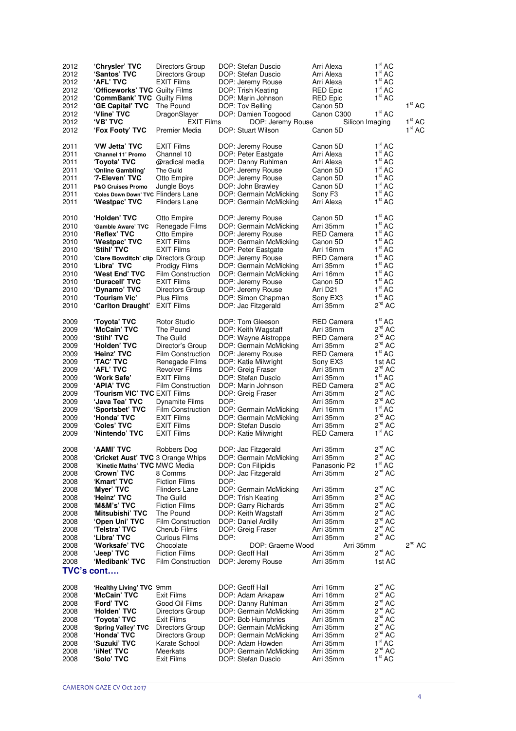| 2012         | 'Chrysler' TVC                        | Directors Group                      | DOP: Stefan Duscio                          | Arri Alexa                  | 1 <sup>st</sup> AC         |                                          |
|--------------|---------------------------------------|--------------------------------------|---------------------------------------------|-----------------------------|----------------------------|------------------------------------------|
| 2012         | 'Santos' TVC                          | Directors Group                      | DOP: Stefan Duscio                          | Arri Alexa                  | 1 <sup>st</sup> AC         |                                          |
| 2012         | 'AFL' TVC                             | <b>EXIT Films</b>                    | DOP: Jeremy Rouse                           | Arri Alexa                  | 1 <sup>st</sup> AC         |                                          |
| 2012         | <b>'Officeworks' TVC Guilty Films</b> |                                      | DOP: Trish Keating                          | RED Epic                    | 1 <sup>st</sup> AC         |                                          |
| 2012         | 'CommBank' TVC Guilty Films           |                                      | DOP: Marin Johnson                          | RED Epic                    | 1 <sup>st</sup> AC         |                                          |
| 2012         | 'GE Capital' TVC                      | The Pound                            | DOP: Tov Belling                            | Canon 5D                    |                            | 1 <sup>st</sup> AC                       |
| 2012         | 'Vline' TVC                           | DragonSlayer                         | DOP: Damien Toogood                         | Canon C300                  | 1 <sup>st</sup> AC         |                                          |
| 2012<br>2012 | <b>'VB' TVC</b><br>'Fox Footy' TVC    | <b>EXIT Films</b><br>Premier Media   | DOP: Jeremy Rouse<br>DOP: Stuart Wilson     | Silicon Imaging<br>Canon 5D |                            | 1 <sup>st</sup> AC<br>1 <sup>st</sup> AC |
|              |                                       |                                      |                                             |                             |                            |                                          |
| 2011         | 'VW Jetta' TVC                        | <b>EXIT Films</b>                    | DOP: Jeremy Rouse                           | Canon 5D                    | 1 <sup>st</sup> AC         |                                          |
| 2011         | 'Channel 11' Promo                    | Channel 10                           | DOP: Peter Eastgate                         | Arri Alexa                  | 1 <sup>st</sup> AC         |                                          |
| 2011         | 'Toyota' TVC                          | @radical media                       | DOP: Danny Ruhlman                          | Arri Alexa                  | 1 <sup>st</sup> AC         |                                          |
| 2011         | 'Online Gambling'                     | The Guild                            | DOP: Jeremy Rouse                           | Canon 5D                    | 1 <sup>st</sup> AC         |                                          |
| 2011         | '7-Eleven' TVC                        | Otto Empire                          | DOP: Jeremy Rouse                           | Canon 5D                    | 1 <sup>st</sup> AC         |                                          |
| 2011         | <b>P&amp;O Cruises Promo</b>          | Jungle Boys                          | DOP: John Brawley                           | Canon 5D                    | 1 <sup>st</sup> AC         |                                          |
| 2011         | 'Coles Down Down' TVC Flinders Lane   |                                      | DOP: Germain McMicking                      | Sony F <sub>3</sub>         | 1 <sup>st</sup> AC         |                                          |
| 2011         | 'Westpac' TVC                         | Flinders Lane                        | DOP: Germain McMicking                      | Arri Alexa                  | 1 <sup>st</sup> AC         |                                          |
|              |                                       |                                      |                                             |                             | 1 <sup>st</sup> AC         |                                          |
| 2010<br>2010 | 'Holden' TVC<br>'Gamble Aware' TVC    | Otto Empire<br>Renegade Films        | DOP: Jeremy Rouse<br>DOP: Germain McMicking | Canon 5D<br>Arri 35mm       | $1^\text{st}$ AC           |                                          |
| 2010         | 'Reflex' TVC                          | Otto Empire                          | DOP: Jeremy Rouse                           | RED Camera                  | 1 <sup>st</sup> AC         |                                          |
| 2010         | 'Westpac' TVC                         | <b>EXIT Films</b>                    | DOP: Germain McMicking                      | Canon 5D                    | 1 <sup>st</sup> AC         |                                          |
| 2010         | 'Stihl' TVC                           | <b>EXIT Films</b>                    | DOP: Peter Eastgate                         | Arri 16mm                   | 1 <sup>st</sup> AC         |                                          |
| 2010         | 'Clare Bowditch' clip Directors Group |                                      | DOP: Jeremy Rouse                           | RED Camera                  | 1 <sup>st</sup> AC         |                                          |
| 2010         | 'Libra' TVC                           | Prodigy Films                        | DOP: Germain McMicking                      | Arri 35mm                   | 1 <sup>st</sup> AC         |                                          |
| 2010         | 'West End' TVC                        | Film Construction                    | DOP: Germain McMicking                      | Arri 16mm                   | 1 <sup>st</sup> AC         |                                          |
| 2010         | 'Duracell' TVC                        | <b>EXIT Films</b>                    | DOP: Jeremy Rouse                           | Canon 5D                    | 1 <sup>st</sup> AC         |                                          |
| 2010         | 'Dynamo' TVC                          | Directors Group                      | DOP: Jeremy Rouse                           | Arri D <sub>21</sub>        | 1 <sup>st</sup> AC         |                                          |
| 2010         | 'Tourism Vic'                         | Plus Films                           | DOP: Simon Chapman                          | Sony EX3                    | 1 <sup>st</sup> AC         |                                          |
| 2010         | 'Carlton Draught'                     | <b>EXIT Films</b>                    | DOP: Jac Fitzgerald                         | Arri 35mm                   | $2^{nd}$ AC                |                                          |
|              |                                       |                                      |                                             |                             | 1 <sup>st</sup> AC         |                                          |
| 2009         | 'Toyota' TVC                          | Rotor Studio                         | DOP: Tom Gleeson                            | RED Camera                  | $2^{nd}$ AC                |                                          |
| 2009<br>2009 | 'McCain' TVC<br><b>'Stihl' TVC</b>    | The Pound<br>The Guild               | DOP: Keith Wagstaff<br>DOP: Wayne Aistroppe | Arri 35mm<br>RED Camera     | $2^{nd}$ AC                |                                          |
| 2009         | 'Holden' TVC                          | Director's Group                     | DOP: Germain McMicking                      | Arri 35mm                   | $2^{nd}$ AC                |                                          |
| 2009         | 'Heinz' TVC                           | Film Construction                    | DOP: Jeremy Rouse                           | RED Camera                  | 1 <sup>st</sup> AC         |                                          |
| 2009         | 'TAC' TVC                             | Renegade Films                       | DOP: Katie Milwright                        | Sony EX3                    | 1st AC                     |                                          |
| 2009         | <b>'AFL' TVC</b>                      | Revolver Films                       | DOP: Greig Fraser                           | Arri 35mm                   | $2^{nd}$ AC                |                                          |
| 2009         | 'Work Safe'                           | <b>EXIT Films</b>                    | DOP: Stefan Duscio                          | Arri 35mm                   | 1 <sup>st</sup> AC         |                                          |
| 2009         | <b>APIA' TVC</b>                      | Film Construction                    | DOP: Marin Johnson                          | RED Camera                  | $2^{nd}$ AC                |                                          |
| 2009         | 'Tourism VIC' TVC EXIT Films          |                                      | DOP: Greig Fraser                           | Arri 35mm                   | $2^{nd}$ AC                |                                          |
| 2009         | 'Java Tea' TVC                        | <b>Dynamite Films</b>                | DOP:                                        | Arri 35mm                   | $2^{nd}$ AC                |                                          |
| 2009         | 'Sportsbet' TVC                       | Film Construction                    | DOP: Germain McMicking                      | Arri 16mm                   | 1 <sup>st</sup> AC         |                                          |
| 2009         | 'Honda' TVC                           | <b>EXIT Films</b>                    | DOP: Germain McMicking                      | Arri 35mm                   | $2^{nd}$ AC                |                                          |
| 2009         | 'Coles' TVC                           | <b>EXIT Films</b>                    | DOP: Stefan Duscio                          | Arri 35mm                   | $2^{nd}$ AC                |                                          |
| 2009         | 'Nintendo' TVC                        | <b>EXIT Films</b>                    | DOP: Katie Milwright                        | <b>RED Camera</b>           | 1 <sup>st</sup> AC         |                                          |
| 2008         | 'AAMI' TVC                            | Robbers Dog                          | DOP: Jac Fitzgerald                         | Arri 35mm                   | $2^{nd}$ AC                |                                          |
| 2008         | 'Cricket Aust' TVC 3 Orange Whips     |                                      | DOP: Germain McMicking                      | Arri 35mm                   | $2^{nd}$ AC                |                                          |
| 2008         | 'Kinetic Maths' TVC MWC Media         |                                      | DOP: Con Filipidis                          | Panasonic P2                | 1 <sup>st</sup> AC         |                                          |
| 2008         | <b>'Crown' TVC</b>                    | 8 Comms                              | DOP: Jac Fitzgerald                         | Arri 35mm                   | $2^{nd}$ AC                |                                          |
| 2008         | 'Kmart' TVC                           | <b>Fiction Films</b>                 | DOP:                                        |                             |                            |                                          |
| 2008         | 'Myer' TVC                            | <b>Flinders Lane</b>                 | DOP: Germain McMicking                      | Arri 35mm                   | $2^{nd}$ AC                |                                          |
| 2008         | 'Heinz' TVC                           | The Guild                            | DOP: Trish Keating                          | Arri 35mm                   | $2^{nd}$ AC                |                                          |
| 2008         | <b>'M&amp;M's' TVC</b>                | <b>Fiction Films</b>                 | DOP: Garry Richards                         | Arri 35mm                   | $2^{nd}$ AC                |                                          |
| 2008         | 'Mitsubishi' TVC                      | The Pound                            | DOP: Keith Wagstaff                         | Arri 35mm                   | $2^{nd}$ AC                |                                          |
| 2008         | 'Open Uni' TVC                        | <b>Film Construction</b>             | DOP: Daniel Ardilly                         | Arri 35mm                   | $2^{nd}$ AC<br>$2^{nd}$ AC |                                          |
| 2008<br>2008 | 'Telstra' TVC<br>'Libra' TVC          | Cherub Films<br><b>Curious Films</b> | DOP: Greig Fraser<br>DOP:                   | Arri 35mm<br>Arri 35mm      | $2^{nd}$ AC                |                                          |
| 2008         | 'Worksafe' TVC                        | Chocolate                            | DOP: Graeme Wood                            | Arri 35mm                   |                            | $2^{nd}$ AC                              |
| 2008         | 'Jeep' TVC                            | <b>Fiction Films</b>                 | DOP: Geoff Hall                             | Arri 35mm                   | $2^{nd}$ AC                |                                          |
| 2008         | 'Medibank' TVC                        | Film Construction                    | DOP: Jeremy Rouse                           | Arri 35mm                   | 1st AC                     |                                          |
| TVC's cont   |                                       |                                      |                                             |                             |                            |                                          |
|              |                                       |                                      |                                             |                             |                            |                                          |
| 2008         | 'Healthy Living' TVC 9mm              |                                      | DOP: Geoff Hall                             | Arri 16mm                   | $2^{nd}$ AC                |                                          |
| 2008         | 'McCain' TVC                          | Exit Films                           | DOP: Adam Arkapaw                           | Arri 16mm                   | $2^{nd}$ AC                |                                          |
| 2008         | <b>'Ford' TVC</b>                     | Good Oil Films                       | DOP: Danny Ruhlman                          | Arri 35mm                   | $2^{nd}$ AC                |                                          |
| 2008         | 'Holden' TVC                          | Directors Group                      | DOP: Germain McMicking                      | Arri 35mm                   | $2^{nd}$ AC                |                                          |
| 2008         | 'Toyota' TVC                          | <b>Exit Films</b>                    | DOP: Bob Humphries                          | Arri 35mm                   | $2^{nd}$ AC<br>$2^{nd}$ AC |                                          |
| 2008<br>2008 | 'Spring Valley' TVC                   | Directors Group                      | DOP: Germain McMicking                      | Arri 35mm                   | $2^{nd}$ AC                |                                          |
| 2008         | 'Honda' TVC<br>'Suzuki' TVC           | Directors Group<br>Karate School     | DOP: Germain McMicking<br>DOP: Adam Howden  | Arri 35mm<br>Arri 35mm      | 1 <sup>st</sup> AC         |                                          |
| 2008         | 'iiNet' TVC                           | Meerkats                             | DOP: Germain McMicking                      | Arri 35mm                   | $2^{nd}$ AC                |                                          |
| 2008         | 'Solo' TVC                            | Exit Films                           | DOP: Stefan Duscio                          | Arri 35mm                   | 1 <sup>st</sup> AC         |                                          |
|              |                                       |                                      |                                             |                             |                            |                                          |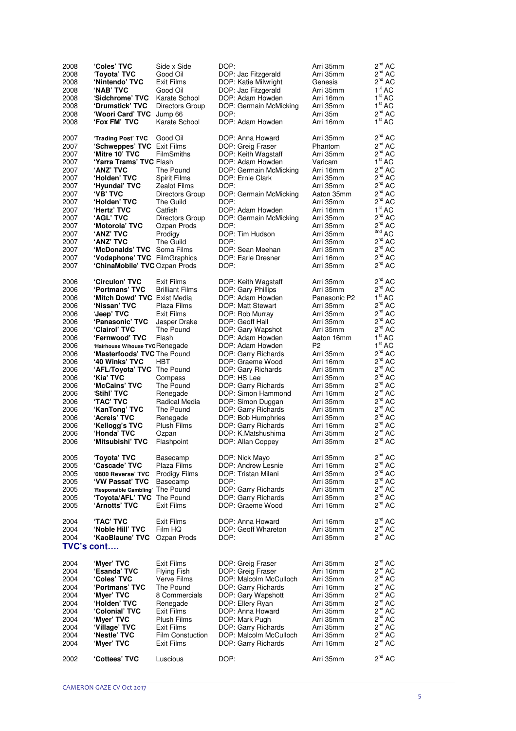| 2008              | 'Coles' TVC                      | Side x Side             | DOP:                                          | Arri 35mm      | $2^{nd}$ AC                  |
|-------------------|----------------------------------|-------------------------|-----------------------------------------------|----------------|------------------------------|
| 2008              | 'Toyota' TVC                     | Good Oil                | DOP: Jac Fitzgerald                           | Arri 35mm      | $2^{nd}$ AC                  |
| 2008              | 'Nintendo' TVC                   | Exit Films              | DOP: Katie Milwright                          | Genesis        | $2^{nd}$ AC                  |
| 2008              | 'NAB' TVC                        | Good Oil                | DOP: Jac Fitzgerald                           | Arri 35mm      | 1 <sup>st</sup> AC           |
| 2008              | 'Sidchrome' TVC                  | Karate School           | DOP: Adam Howden                              | Arri 16mm      | 1 <sup>st</sup> AC           |
| 2008              | 'Drumstick' TVC                  | Directors Group         | DOP: Germain McMicking                        | Arri 35mm      | 1 <sup>st</sup><br>AC        |
| 2008              | 'Woori Card' TVC                 | Jump 66                 | DOP:                                          | Arri 35m       | 2 <sup>nd</sup><br>АC        |
| 2008              | 'Fox FM' TVC                     | Karate School           | DOP: Adam Howden                              | Arri 16mm      | 1 <sup>st</sup> AC           |
|                   |                                  |                         |                                               |                |                              |
| 2007              | 'Trading Post' TVC               | Good Oil                | DOP: Anna Howard                              | Arri 35mm      | 2 <sup>nd</sup><br>АC        |
| 2007              | 'Schweppes' TVC Exit Films       |                         | DOP: Greig Fraser                             | Phantom        | $2^{nd}$<br>АC               |
| 2007              | 'Mitre 10' TVC                   | FilmSmiths              | DOP: Keith Wagstaff                           | Arri 35mm      | $2^{nd}$ AC                  |
| 2007              | 'Yarra Trams' TVC Flash          |                         | DOP: Adam Howden                              | Varicam        | 1 <sup>st</sup><br>AC        |
| 2007              | <b>'ANZ' TVC</b>                 | The Pound               | DOP: Germain McMicking                        | Arri 16mm      | $2^{nd}$ AC                  |
| 2007              | 'Holden' TVC                     | Spirit Films            | DOP: Ernie Clark                              | Arri 35mm      | $2^{nd}$<br><b>AC</b>        |
| 2007              | 'Hyundai' TVC                    | <b>Zealot Films</b>     | DOP:                                          | Arri 35mm      | 2 <sup>nd</sup><br>АC        |
| 2007              | <b>'VB' TVC</b>                  |                         | DOP: Germain McMicking                        | Aaton 35mm     | $2^{nd}$<br><b>AC</b>        |
|                   |                                  | Directors Group         | DOP:                                          | Arri 35mm      | $2^{nd}$ AC                  |
| 2007              | 'Holden' TVC                     | The Guild               |                                               |                | 1 <sup>st</sup>              |
| 2007              | 'Hertz' TVC                      | Catfish                 | DOP: Adam Howden                              | Arri 16mm      | AC                           |
| 2007              | <b>AGL' TVC</b>                  | Directors Group         | DOP: Germain McMicking                        | Arri 35mm      | $2^{nd}$<br>АC               |
| 2007              | 'Motorola' TVC                   | Ozpan Prods             | DOP:                                          | Arri 35mm      | $2^{nd}$<br>AC<br>2nd        |
| 2007              | 'ANZ' TVC                        | Prodigy                 | DOP: Tim Hudson                               | Arri 35mm      | AC                           |
| 2007              | <b>'ANZ' TVC</b>                 | The Guild               | DOP:                                          | Arri 35mm      | 2 <sup>nd</sup><br>АC        |
| 2007              | 'McDonalds' TVC Soma Films       |                         | DOP: Sean Meehan                              | Arri 35mm      | $2^{nd}$<br>АC               |
| 2007              | 'Vodaphone' TVC FilmGraphics     |                         | DOP: Earle Dresner                            | Arri 16mm      | 2 <sup>nd</sup><br><b>AC</b> |
| 2007              | 'ChinaMobile' TVC Ozpan Prods    |                         | DOP:                                          | Arri 35mm      | $2^{nd}$<br><b>AC</b>        |
|                   |                                  |                         |                                               |                |                              |
| 2006              | 'Circulon' TVC                   | Exit Films              | DOP: Keith Wagstaff                           | Arri 35mm      | $2^{nd}$<br>AC               |
| 2006              | 'Portmans' TVC                   | <b>Brilliant Films</b>  | DOP: Gary Phillips                            | Arri 35mm      | $2^{nd}$ AC                  |
| 2006              | 'Mitch Dowd' TVC Exist Media     |                         | DOP: Adam Howden                              | Panasonic P2   | 1 <sup>st</sup> AC           |
| 2006              | 'Nissan' TVC                     | Plaza Films             | DOP: Matt Stewart                             | Arri 35mm      | 2 <sup>nd</sup><br>АC        |
| 2006              | <b>'Jeep' TVC</b>                | Exit Films              | DOP: Rob Murray                               | Arri 35mm      | $2^{nd}$<br><b>AC</b>        |
| 2006              | 'Panasonic' TVC                  | Jasper Drake            | DOP: Geoff Hall                               | Arri 35mm      | 2 <sup>nd</sup><br><b>AC</b> |
| 2006              | 'Clairol' TVC                    | The Pound               | DOP: Gary Wapshot                             | Arri 35mm      | $2^{nd}$ AC                  |
| 2006              | 'Fernwood' TVC                   | Flash                   | DOP: Adam Howden                              | Aaton 16mm     | 1 <sup>st</sup> AC           |
| 2006              | 'Hairhouse W/house TVC Renegade  |                         | DOP: Adam Howden                              | P <sub>2</sub> | 1 <sup>st</sup> AC           |
| 2006              | 'Masterfoods' TVC The Pound      |                         | DOP: Garry Richards                           | Arri 35mm      | $2^{nd}$<br><b>AC</b>        |
| 2006              | <b>'40 Winks' TVC</b>            | <b>HBT</b>              | DOP: Graeme Wood                              | Arri 16mm      | $2^{nd}$<br>АC               |
| 2006              | 'AFL/Toyota' TVC The Pound       |                         | DOP: Gary Richards                            | Arri 35mm      | $2^{nd}$<br>АC               |
| 2006              | ʻKia' TVC                        | Compass                 | DOP: HS Lee                                   | Arri 35mm      | $2^{nd}$<br>АC               |
| 2006              | 'McCains' TVC                    | The Pound               | DOP: Garry Richards                           | Arri 35mm      | $2^{nd}$<br><b>AC</b>        |
| 2006              | <b>'Stihl' TVC</b>               |                         | DOP: Simon Hammond                            | Arri 16mm      | 2 <sup>nd</sup><br>АC        |
| 2006              |                                  | Renegade                |                                               |                | $2^{nd}$<br><b>AC</b>        |
|                   | <b>'TAC' TVC</b>                 | Radical Media           | DOP: Simon Duggan                             | Arri 35mm      | $2^{nd}$                     |
| 2006              | 'KanTong' TVC                    | The Pound               | DOP: Garry Richards                           | Arri 35mm      | AC<br>$2^{nd}$               |
| 2006              | 'Acreis' TVC                     | Renegade                | DOP: Bob Humphries                            | Arri 35mm      | <b>AC</b><br>$2^{nd}$        |
| 2006              | 'Kellogg's TVC                   | <b>Plush Films</b>      | DOP: Garry Richards                           | Arri 16mm      | AC                           |
| 2006              | 'Honda' TVC                      | Ozpan                   | DOP: K.Matshushima                            | Arri 35mm      | $2^{nd}$<br>AC               |
| 2006              | 'Mitsubishi' TVC                 | Flashpoint              | DOP: Allan Coppey                             | Arri 35mm      | $2^{nd}$ AC                  |
|                   |                                  |                         |                                               |                |                              |
| 2005              | 'Toyota' TVC                     | Basecamp                | DOP: Nick Mayo                                | Arri 35mm      | $2^{nd}$ AC                  |
| 2005              | 'Cascade' TVC                    | Plaza Films             | DOP: Andrew Lesnie                            | Arri 16mm      | $2^{nd}$ AC                  |
| 2005              | '0800 Reverse' TVC               | <b>Prodigy Films</b>    | DOP: Tristan Milani                           | Arri 35mm      | $2^{nd}$<br>AC               |
| 2005              | 'VW Passať TVC                   | Basecamp                | DOP:                                          | Arri 35mm      | $2^{nd}$ AC                  |
| 2005              | 'Responsible Gambling' The Pound |                         | DOP: Garry Richards                           | Arri 35mm      | $2^{nd}$ AC                  |
| 2005              | 'Toyota/AFL' TVC                 | The Pound               | DOP: Garry Richards                           | Arri 35mm      | $2^{nd}$<br>AC               |
| 2005              | 'Arnotts' TVC                    | Exit Films              | DOP: Graeme Wood                              | Arri 16mm      | $2^{nd}$ AC                  |
|                   |                                  |                         |                                               |                |                              |
| 2004              | <b>'TAC' TVC</b>                 | Exit Films              | DOP: Anna Howard                              | Arri 16mm      | $2^{nd}$ AC                  |
| 2004              | 'Noble Hill' TVC                 | Film HQ                 | DOP: Geoff Whareton                           | Arri 35mm      | $2^{nd}$ AC                  |
| 2004              | 'KaoBlaune' TVC                  | Ozpan Prods             | DOP:                                          | Arri 35mm      | $2^{nd}$ AC                  |
| <b>TVC's cont</b> |                                  |                         |                                               |                |                              |
|                   |                                  |                         |                                               |                |                              |
| 2004              | 'Myer' TVC                       | Exit Films              | DOP: Greig Fraser                             | Arri 35mm      | $2^{nd}$ AC                  |
| 2004              | 'Esanda' TVC                     | Flying Fish             | DOP: Greig Fraser                             | Arri 16mm      | $2^{nd}$ AC                  |
| 2004              | 'Coles' TVC                      | Verve Films             | DOP: Malcolm McCulloch                        | Arri 35mm      | $2^{nd}$ AC                  |
| 2004              | 'Portmans' TVC                   | The Pound               | DOP: Garry Richards                           | Arri 16mm      | $2^{nd}$ AC                  |
| 2004              | 'Myer' TVC                       | 8 Commercials           | DOP: Gary Wapshott                            | Arri 35mm      | $2^{nd}$ AC                  |
| 2004              | 'Holden' TVC                     | Renegade                | DOP: Ellery Ryan                              | Arri 35mm      | $2^{nd}$ AC                  |
| 2004              | 'Colonial' TVC                   | Exit Films              | DOP: Anna Howard                              | Arri 35mm      | $2^{nd}$<br>AС               |
| 2004              | 'Myer' TVC                       | Plush Films             | DOP: Mark Pugh                                | Arri 35mm      | $2^{nd}$<br>AС               |
| 2004              | 'Village' TVC                    | Exit Films              |                                               | Arri 35mm      | $2^{nd}$<br>AС               |
| 2004              | 'Nestle' TVC                     | <b>Film Constuction</b> | DOP: Garry Richards<br>DOP: Malcolm McCulloch | Arri 35mm      | $2^{\text{nd}}$<br>AC        |
| 2004              | 'Myer' TVC                       | Exit Films              | DOP: Garry Richards                           | Arri 16mm      | $2^{nd}$<br>АC               |
|                   |                                  |                         |                                               |                |                              |
| 2002              | 'Cottees' TVC                    | Luscious                | DOP:                                          | Arri 35mm      | $2^{nd}$ AC                  |
|                   |                                  |                         |                                               |                |                              |